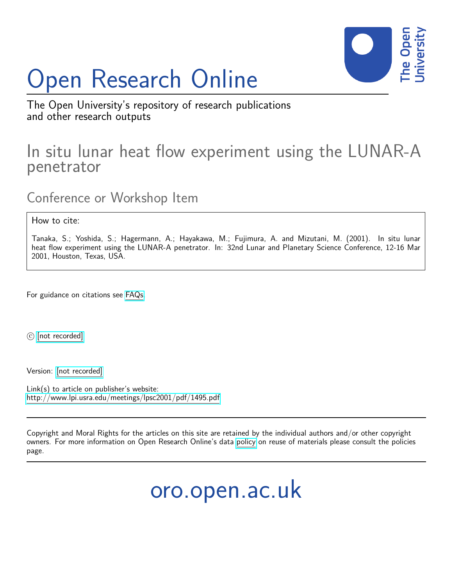## Open Research Online



The Open University's repository of research publications and other research outputs

## In situ lunar heat flow experiment using the LUNAR-A penetrator

Conference or Workshop Item

How to cite:

Tanaka, S.; Yoshida, S.; Hagermann, A.; Hayakawa, M.; Fujimura, A. and Mizutani, M. (2001). In situ lunar heat flow experiment using the LUNAR-A penetrator. In: 32nd Lunar and Planetary Science Conference, 12-16 Mar 2001, Houston, Texas, USA.

For guidance on citations see [FAQs.](http://oro.open.ac.uk/help/helpfaq.html)

 $\circled{c}$  [\[not recorded\]](http://oro.open.ac.uk/help/helpfaq.html#Unrecorded_information_on_coversheet)

Version: [\[not recorded\]](http://oro.open.ac.uk/help/helpfaq.html#Unrecorded_information_on_coversheet)

Link(s) to article on publisher's website: <http://www.lpi.usra.edu/meetings/lpsc2001/pdf/1495.pdf>

Copyright and Moral Rights for the articles on this site are retained by the individual authors and/or other copyright owners. For more information on Open Research Online's data [policy](http://oro.open.ac.uk/policies.html) on reuse of materials please consult the policies page.

oro.open.ac.uk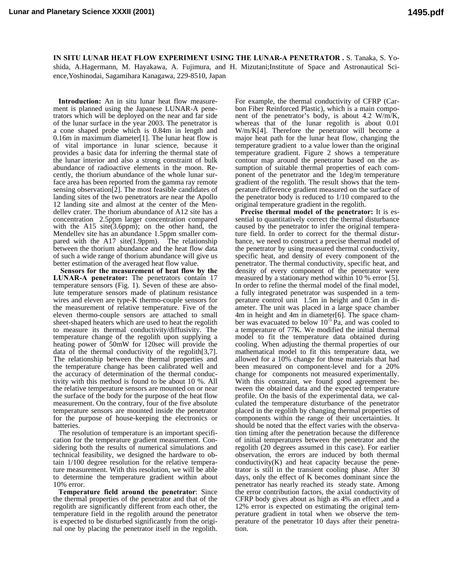**IN SITU LUNAR HEAT FLOW EXPERIMENT USING THE LUNAR-A PENETRATOR .** S. Tanaka, S. Yoshida, A.Hagermann, M. Hayakawa, A. Fujimura, and H. Mizutani;Institute of Space and Astronautical Science,Yoshinodai, Sagamihara Kanagawa, 229-8510, Japan

**Introduction:** An in situ lunar heat flow measurement is planned using the Japanese LUNAR-A penetrators which will be deployed on the near and far side of the lunar surface in the year 2003. The penetrator is a cone shaped probe which is 0.84m in length and 0.16m in maximum diameter[1]. The lunar heat flow is of vital importance in lunar science, because it provides a basic data for inferring the thermal state of the lunar interior and also a strong constraint of bulk abundance of radioactive elements in the moon. Recently, the thorium abundance of the whole lunar surface area has been reported from the gamma ray remote sensing observation[2]. The most feasible candidates of landing sites of the two penetrators are near the Apollo 12 landing site and almost at the center of the Mendellev crater. The thorium abundance of A12 site has a concentration 2.5ppm larger concentration compared with the A15 site(3.6ppm); on the other hand, the Mendellev site has an abundance 1.5ppm smaller compared with the A17 site(1.9ppm). The relationship between the thorium abundance and the heat flow data of such a wide range of thorium abundance will give us better estimation of the averaged heat flow value.

**Sensors for the measurement of heat flow by the LUNAR-A penetrator:** The penetrators contain 17 temperature sensors (Fig. 1). Seven of these are absolute temperature sensors made of platinum resistance wires and eleven are type-K thermo-couple sensors for the measurement of relative temperature. Five of the eleven thermo-couple sensors are attached to small sheet-shaped heaters which are used to heat the regolith to measure its thermal conductivity/diffusivity. The temperature change of the regolith upon supplying a heating power of 50mW for 120sec will provide the data of the thermal conductivity of the regolith[3,7]. The relationship between the thermal properties and the temperature change has been calibrated well and the accuracy of determination of the thermal conductivity with this method is found to be about 10 %. All the relative temperature sensors are mounted on or near the surface of the body for the purpose of the heat flow measurement. On the contrary, four of the five absolute temperature sensors are mounted inside the penetrator for the purpose of house-keeping the electronics or batteries.

The resolution of temperature is an important specification for the temperature gradient measurement. Considering both the results of numerical simulations and technical feasibility, we designed the hardware to obtain 1/100 degree resolution for the relative temperature measurement. With this resolution, we will be able to determine the temperature gradient within about 10% error.

**Temperature field around the penetrator**: Since the thermal properties of the penetrator and that of the regolith are significantly different from each other, the temperature field in the regolith around the penetrator is expected to be disturbed significantly from the original one by placing the penetrator itself in the regolith.

For example, the thermal conductivity of CFRP (Carbon Fiber Reinforced Plastic), which is a main component of the penetrator's body, is about 4.2 W/m/K, whereas that of the lunar regolith is about 0.01 W/m/K[4]. Therefore the penetrator will become a major heat path for the lunar heat flow, changing the temperature gradient to a value lower than the original temperature gradient. Figure 2 shows a temperature contour map around the penetrator based on the assumption of suitable thermal properties of each component of the penetrator and the 1deg/m temperature gradient of the regolith. The result shows that the temperature difference gradient measured on the surface of the penetrator body is reduced to 1/10 compared to the original temperature gradient in the regolith.

**Precise thermal model of the penetrator:** It is essential to quantitatively correct the thermal disturbance caused by the penetrator to infer the original temperature field. In order to correct for the thermal disturbance, we need to construct a precise thermal model of the penetrator by using measured thermal conductivity, specific heat, and density of every component of the penetrator. The thermal conductivity, specific heat, and density of every component of the penetrator were measured by a stationary method within 10 % error [5]. In order to refine the thermal model of the final model, a fully integrated penetrator was suspended in a temperature control unit 1.5m in height and 0.5m in diameter. The unit was placed in a large space chamber 4m in height and 4m in diameter[6]. The space chamber was evacuated to below  $10^{-5}$  Pa, and was cooled to a temperature of 77K. We modified the initial thermal model to fit the temperature data obtained during cooling. When adjusting the thermal properties of our mathematical model to fit this temperature data, we allowed for a 10% change for those materials that had been measured on component-level and for a 20% change for components not measured experimentally. With this constraint, we found good agreement between the obtained data and the expected temperature profile. On the basis of the experimental data, we calculated the temperature disturbance of the penetrator placed in the regolith by changing thermal properties of components within the range of their uncertainties. It should be noted that the effect varies with the observation timing after the penetration because the difference of initial temperatures between the penetrator and the regolith (20 degrees assumed in this case). For earlier observation, the errors are induced by both thermal conductivity $(K)$  and heat capacity because the penetrator is still in the transient cooling phase. After 30 days, only the effect of K becomes dominant since the penetrator has nearly reached its steady state. Among the error contribution factors, the axial conductivity of CFRP body gives about as high as 4% an effect ,and a 12% error is expected on estimating the original temperature gradient in total when we observe the temperature of the penetrator 10 days after their penetration.